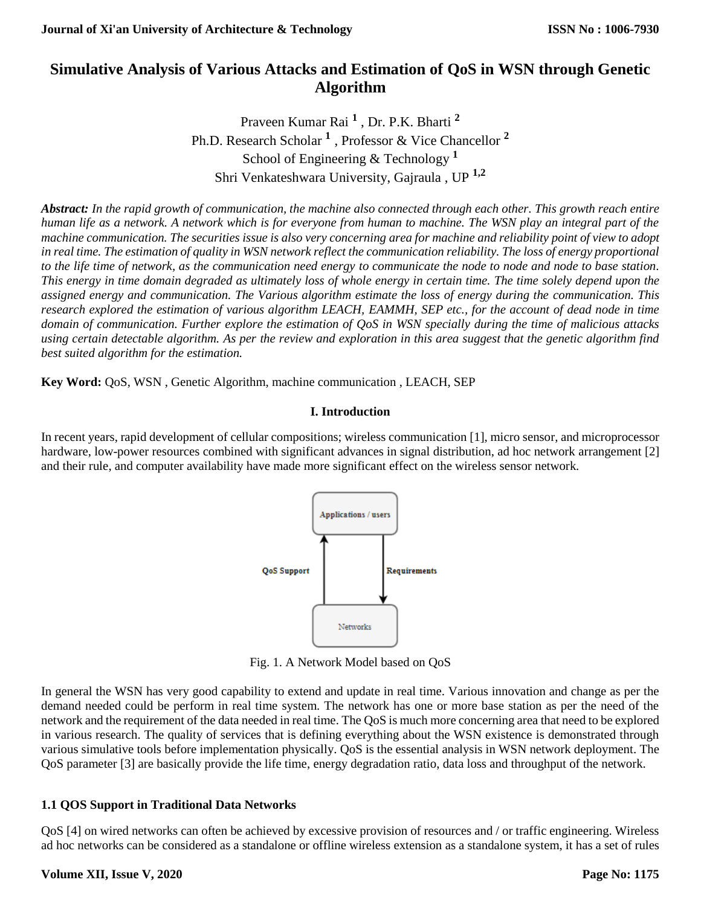# **Simulative Analysis of Various Attacks and Estimation of QoS in WSN through Genetic Algorithm**

Praveen Kumar Rai **<sup>1</sup>** , Dr. P.K. Bharti **<sup>2</sup>** Ph.D. Research Scholar **<sup>1</sup>** , Professor & Vice Chancellor **<sup>2</sup>** School of Engineering & Technology **<sup>1</sup>** Shri Venkateshwara University, Gajraula , UP **1,2**

*Abstract: In the rapid growth of communication, the machine also connected through each other. This growth reach entire human life as a network. A network which is for everyone from human to machine. The WSN play an integral part of the machine communication. The securities issue is also very concerning area for machine and reliability point of view to adopt in real time. The estimation of quality in WSN network reflect the communication reliability. The loss of energy proportional to the life time of network, as the communication need energy to communicate the node to node and node to base station. This energy in time domain degraded as ultimately loss of whole energy in certain time. The time solely depend upon the assigned energy and communication. The Various algorithm estimate the loss of energy during the communication. This research explored the estimation of various algorithm LEACH, EAMMH, SEP etc., for the account of dead node in time domain of communication. Further explore the estimation of QoS in WSN specially during the time of malicious attacks using certain detectable algorithm. As per the review and exploration in this area suggest that the genetic algorithm find best suited algorithm for the estimation.* 

**Key Word:** QoS, WSN , Genetic Algorithm, machine communication , LEACH, SEP

### **I. Introduction**

In recent years, rapid development of cellular compositions; wireless communication [1], micro sensor, and microprocessor hardware, low-power resources combined with significant advances in signal distribution, ad hoc network arrangement [2] and their rule, and computer availability have made more significant effect on the wireless sensor network.



Fig. 1. A Network Model based on QoS

In general the WSN has very good capability to extend and update in real time. Various innovation and change as per the demand needed could be perform in real time system. The network has one or more base station as per the need of the network and the requirement of the data needed in real time. The QoS is much more concerning area that need to be explored in various research. The quality of services that is defining everything about the WSN existence is demonstrated through various simulative tools before implementation physically. QoS is the essential analysis in WSN network deployment. The QoS parameter [3] are basically provide the life time, energy degradation ratio, data loss and throughput of the network.

# **1.1 QOS Support in Traditional Data Networks**

QoS [4] on wired networks can often be achieved by excessive provision of resources and / or traffic engineering. Wireless ad hoc networks can be considered as a standalone or offline wireless extension as a standalone system, it has a set of rules

### **Volume XII, Issue V, 2020**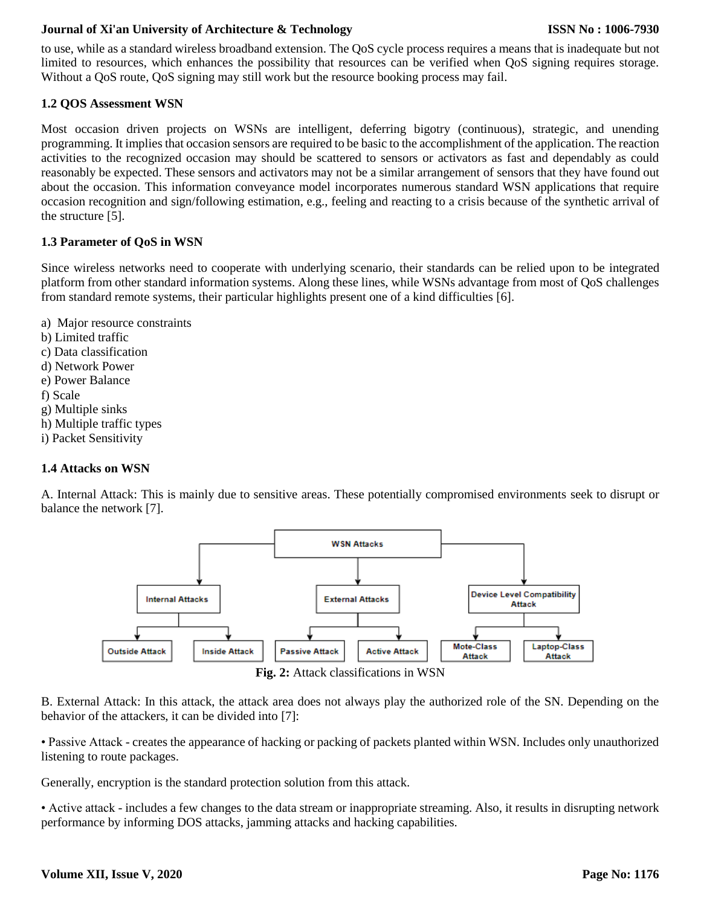to use, while as a standard wireless broadband extension. The QoS cycle process requires a means that is inadequate but not limited to resources, which enhances the possibility that resources can be verified when QoS signing requires storage. Without a QoS route, QoS signing may still work but the resource booking process may fail.

### **1.2 QOS Assessment WSN**

Most occasion driven projects on WSNs are intelligent, deferring bigotry (continuous), strategic, and unending programming. It implies that occasion sensors are required to be basic to the accomplishment of the application. The reaction activities to the recognized occasion may should be scattered to sensors or activators as fast and dependably as could reasonably be expected. These sensors and activators may not be a similar arrangement of sensors that they have found out about the occasion. This information conveyance model incorporates numerous standard WSN applications that require occasion recognition and sign/following estimation, e.g., feeling and reacting to a crisis because of the synthetic arrival of the structure [5].

### **1.3 Parameter of QoS in WSN**

Since wireless networks need to cooperate with underlying scenario, their standards can be relied upon to be integrated platform from other standard information systems. Along these lines, while WSNs advantage from most of QoS challenges from standard remote systems, their particular highlights present one of a kind difficulties [6].

- a) Major resource constraints
- b) Limited traffic
- c) Data classification
- d) Network Power
- e) Power Balance
- f) Scale
- g) Multiple sinks
- h) Multiple traffic types
- i) Packet Sensitivity

# **1.4 Attacks on WSN**

A. Internal Attack: This is mainly due to sensitive areas. These potentially compromised environments seek to disrupt or balance the network [7].



**Fig. 2:** Attack classifications in WSN

B. External Attack: In this attack, the attack area does not always play the authorized role of the SN. Depending on the behavior of the attackers, it can be divided into [7]:

• Passive Attack - creates the appearance of hacking or packing of packets planted within WSN. Includes only unauthorized listening to route packages.

Generally, encryption is the standard protection solution from this attack.

• Active attack - includes a few changes to the data stream or inappropriate streaming. Also, it results in disrupting network performance by informing DOS attacks, jamming attacks and hacking capabilities.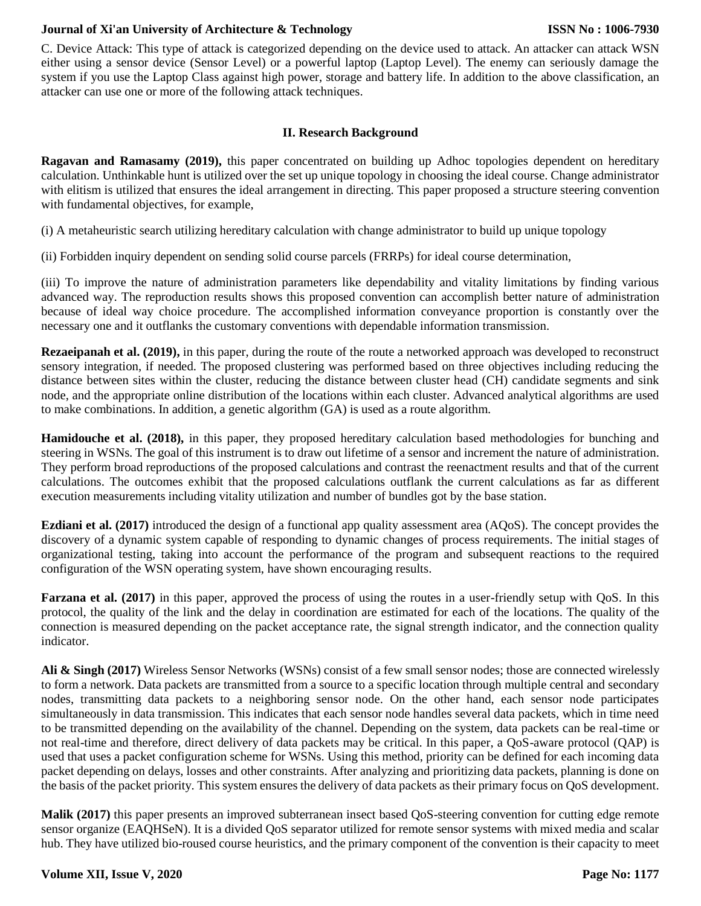C. Device Attack: This type of attack is categorized depending on the device used to attack. An attacker can attack WSN either using a sensor device (Sensor Level) or a powerful laptop (Laptop Level). The enemy can seriously damage the system if you use the Laptop Class against high power, storage and battery life. In addition to the above classification, an attacker can use one or more of the following attack techniques.

# **II. Research Background**

**Ragavan and Ramasamy (2019),** this paper concentrated on building up Adhoc topologies dependent on hereditary calculation. Unthinkable hunt is utilized over the set up unique topology in choosing the ideal course. Change administrator with elitism is utilized that ensures the ideal arrangement in directing. This paper proposed a structure steering convention with fundamental objectives, for example,

(i) A metaheuristic search utilizing hereditary calculation with change administrator to build up unique topology

(ii) Forbidden inquiry dependent on sending solid course parcels (FRRPs) for ideal course determination,

(iii) To improve the nature of administration parameters like dependability and vitality limitations by finding various advanced way. The reproduction results shows this proposed convention can accomplish better nature of administration because of ideal way choice procedure. The accomplished information conveyance proportion is constantly over the necessary one and it outflanks the customary conventions with dependable information transmission.

**Rezaeipanah et al. (2019),** in this paper, during the route of the route a networked approach was developed to reconstruct sensory integration, if needed. The proposed clustering was performed based on three objectives including reducing the distance between sites within the cluster, reducing the distance between cluster head (CH) candidate segments and sink node, and the appropriate online distribution of the locations within each cluster. Advanced analytical algorithms are used to make combinations. In addition, a genetic algorithm (GA) is used as a route algorithm.

**Hamidouche et al. (2018),** in this paper, they proposed hereditary calculation based methodologies for bunching and steering in WSNs. The goal of this instrument is to draw out lifetime of a sensor and increment the nature of administration. They perform broad reproductions of the proposed calculations and contrast the reenactment results and that of the current calculations. The outcomes exhibit that the proposed calculations outflank the current calculations as far as different execution measurements including vitality utilization and number of bundles got by the base station.

**Ezdiani et al. (2017)** introduced the design of a functional app quality assessment area (AQoS). The concept provides the discovery of a dynamic system capable of responding to dynamic changes of process requirements. The initial stages of organizational testing, taking into account the performance of the program and subsequent reactions to the required configuration of the WSN operating system, have shown encouraging results.

**Farzana et al. (2017)** in this paper, approved the process of using the routes in a user-friendly setup with QoS. In this protocol, the quality of the link and the delay in coordination are estimated for each of the locations. The quality of the connection is measured depending on the packet acceptance rate, the signal strength indicator, and the connection quality indicator.

Ali & Singh (2017) Wireless Sensor Networks (WSNs) consist of a few small sensor nodes; those are connected wirelessly to form a network. Data packets are transmitted from a source to a specific location through multiple central and secondary nodes, transmitting data packets to a neighboring sensor node. On the other hand, each sensor node participates simultaneously in data transmission. This indicates that each sensor node handles several data packets, which in time need to be transmitted depending on the availability of the channel. Depending on the system, data packets can be real-time or not real-time and therefore, direct delivery of data packets may be critical. In this paper, a QoS-aware protocol (QAP) is used that uses a packet configuration scheme for WSNs. Using this method, priority can be defined for each incoming data packet depending on delays, losses and other constraints. After analyzing and prioritizing data packets, planning is done on the basis of the packet priority. This system ensures the delivery of data packets as their primary focus on QoS development.

**Malik (2017)** this paper presents an improved subterranean insect based QoS-steering convention for cutting edge remote sensor organize (EAQHSeN). It is a divided QoS separator utilized for remote sensor systems with mixed media and scalar hub. They have utilized bio-roused course heuristics, and the primary component of the convention is their capacity to meet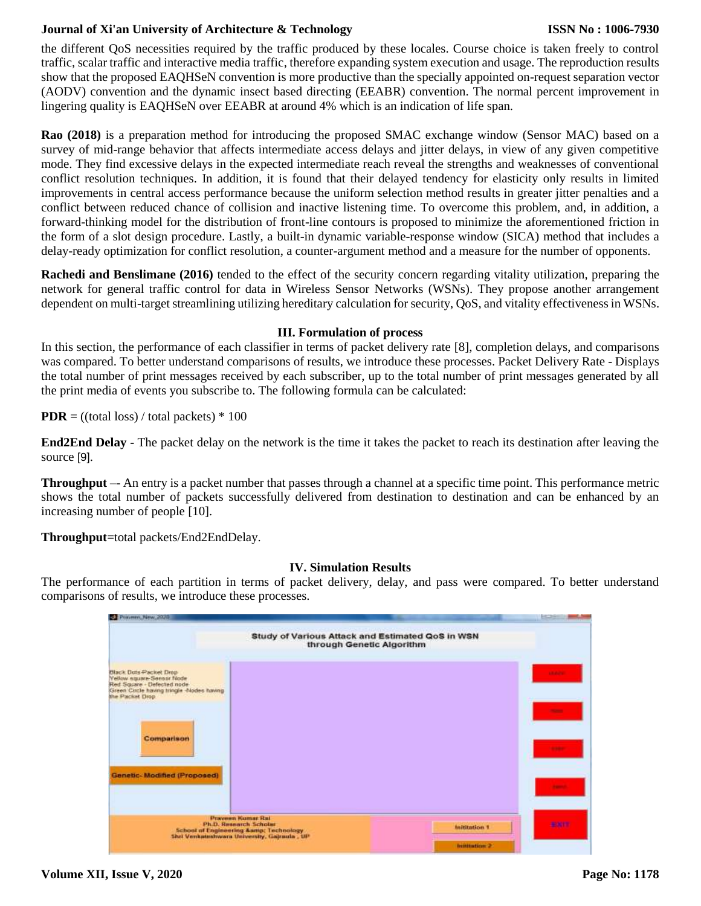the different QoS necessities required by the traffic produced by these locales. Course choice is taken freely to control traffic, scalar traffic and interactive media traffic, therefore expanding system execution and usage. The reproduction results show that the proposed EAQHSeN convention is more productive than the specially appointed on-request separation vector (AODV) convention and the dynamic insect based directing (EEABR) convention. The normal percent improvement in lingering quality is EAQHSeN over EEABR at around 4% which is an indication of life span.

**Rao (2018)** is a preparation method for introducing the proposed SMAC exchange window (Sensor MAC) based on a survey of mid-range behavior that affects intermediate access delays and jitter delays, in view of any given competitive mode. They find excessive delays in the expected intermediate reach reveal the strengths and weaknesses of conventional conflict resolution techniques. In addition, it is found that their delayed tendency for elasticity only results in limited improvements in central access performance because the uniform selection method results in greater jitter penalties and a conflict between reduced chance of collision and inactive listening time. To overcome this problem, and, in addition, a forward-thinking model for the distribution of front-line contours is proposed to minimize the aforementioned friction in the form of a slot design procedure. Lastly, a built-in dynamic variable-response window (SICA) method that includes a delay-ready optimization for conflict resolution, a counter-argument method and a measure for the number of opponents.

**Rachedi and Benslimane (2016)** tended to the effect of the security concern regarding vitality utilization, preparing the network for general traffic control for data in Wireless Sensor Networks (WSNs). They propose another arrangement dependent on multi-target streamlining utilizing hereditary calculation for security, QoS, and vitality effectiveness in WSNs.

#### **III. Formulation of process**

In this section, the performance of each classifier in terms of packet delivery rate [8], completion delays, and comparisons was compared. To better understand comparisons of results, we introduce these processes. Packet Delivery Rate - Displays the total number of print messages received by each subscriber, up to the total number of print messages generated by all the print media of events you subscribe to. The following formula can be calculated:

**PDR** = ((total loss) / total packets)  $*100$ 

**End2End Delay** - The packet delay on the network is the time it takes the packet to reach its destination after leaving the source [9].

**Throughput** –- An entry is a packet number that passes through a channel at a specific time point. This performance metric shows the total number of packets successfully delivered from destination to destination and can be enhanced by an increasing number of people [10].

**Throughput**=total packets/End2EndDelay.

### **IV. Simulation Results**

The performance of each partition in terms of packet delivery, delay, and pass were compared. To better understand comparisons of results, we introduce these processes.

| Proveen New 2000                                                                                                                                    | $-22$                                                                         |
|-----------------------------------------------------------------------------------------------------------------------------------------------------|-------------------------------------------------------------------------------|
|                                                                                                                                                     | Study of Various Attack and Estimated QoS in WSN<br>through Genetic Algorithm |
| Black Duts-Packet Drop<br>Vellow square-Sensor Node<br>Red Square - Defected node<br>Green Circle having tringle -Nodes having<br>the Packet Drop   |                                                                               |
| Comparison<br>Genetic-Modified (Proposed)                                                                                                           |                                                                               |
| <b>Praymen Kumar Rat</b><br>Ph.D. Research Scholar<br><b>School of Engineering Aamp: Technology</b><br>Shri Venkateshwara University, Gairaula , UP | 美術院<br>Inititation 1                                                          |
|                                                                                                                                                     | Initiation 2                                                                  |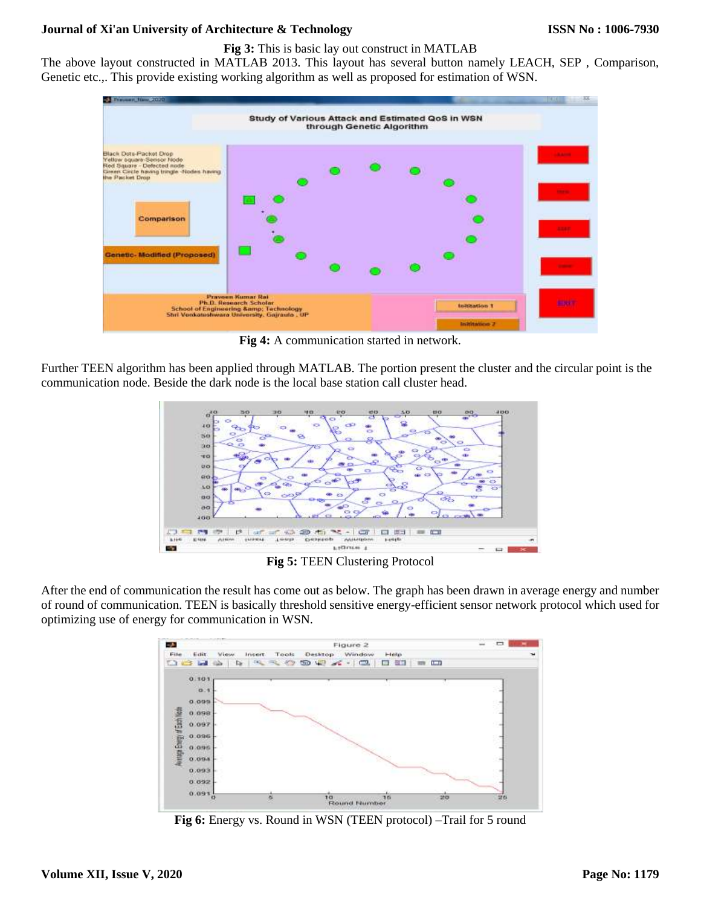#### **Fig 3:** This is basic lay out construct in MATLAB

The above layout constructed in MATLAB 2013. This layout has several button namely LEACH, SEP , Comparison, Genetic etc.,. This provide existing working algorithm as well as proposed for estimation of WSN.



**Fig 4:** A communication started in network.

Further TEEN algorithm has been applied through MATLAB. The portion present the cluster and the circular point is the communication node. Beside the dark node is the local base station call cluster head.



**Fig 5:** TEEN Clustering Protocol

After the end of communication the result has come out as below. The graph has been drawn in average energy and number of round of communication. TEEN is basically threshold sensitive energy-efficient sensor network protocol which used for optimizing use of energy for communication in WSN.



**Fig 6:** Energy vs. Round in WSN (TEEN protocol) –Trail for 5 round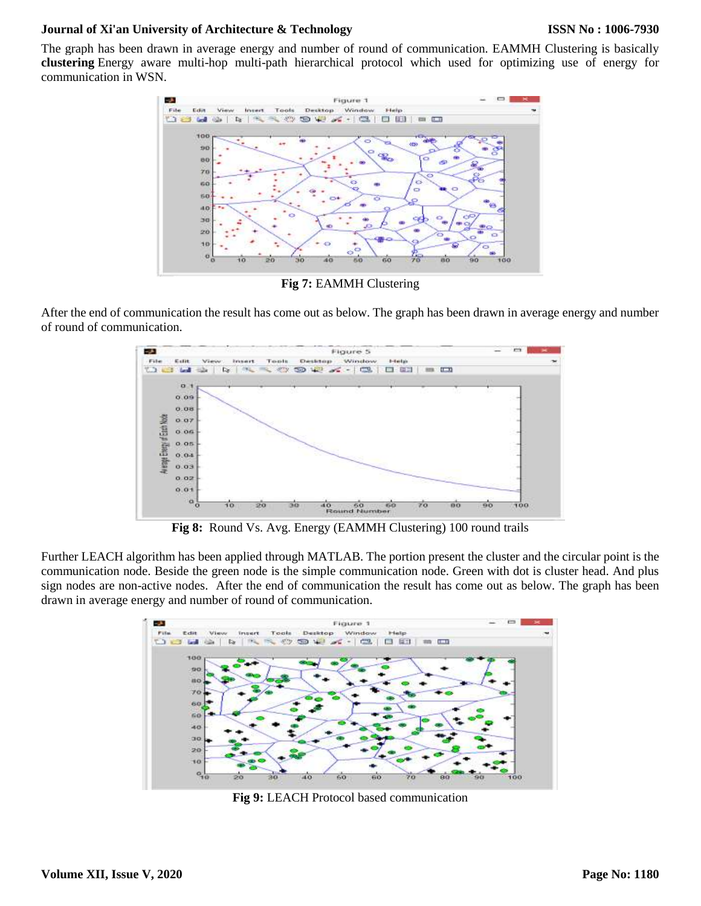The graph has been drawn in average energy and number of round of communication. EAMMH Clustering is basically **clustering** Energy aware multi-hop multi-path hierarchical protocol which used for optimizing use of energy for communication in WSN.



**Fig 7:** EAMMH Clustering

After the end of communication the result has come out as below. The graph has been drawn in average energy and number of round of communication.



**Fig 8:** Round Vs. Avg. Energy (EAMMH Clustering) 100 round trails

Further LEACH algorithm has been applied through MATLAB. The portion present the cluster and the circular point is the communication node. Beside the green node is the simple communication node. Green with dot is cluster head. And plus sign nodes are non-active nodes. After the end of communication the result has come out as below. The graph has been drawn in average energy and number of round of communication.



**Fig 9:** LEACH Protocol based communication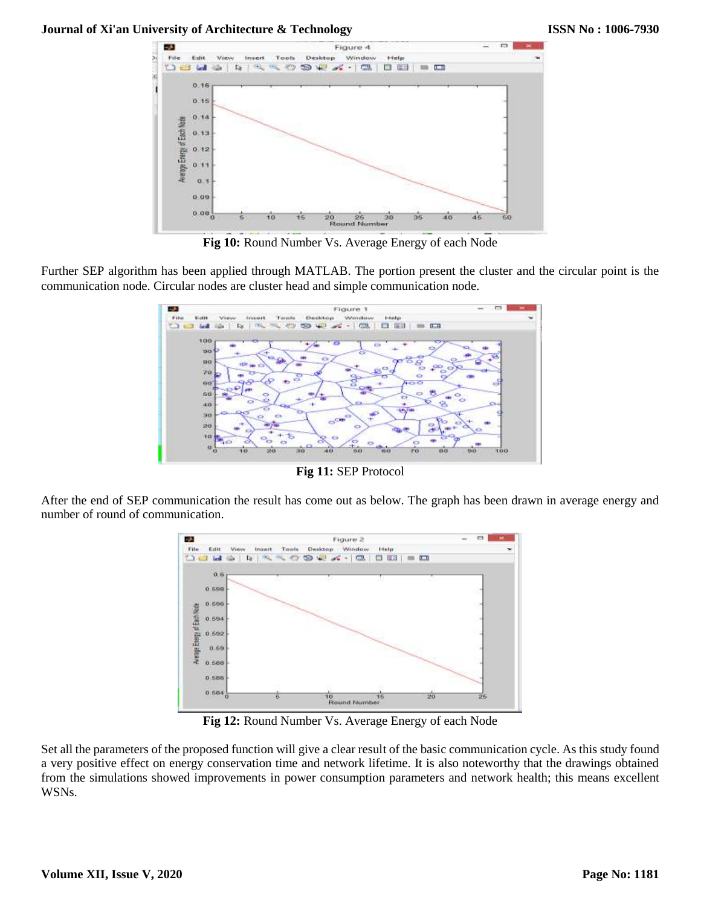

**Fig 10:** Round Number Vs. Average Energy of each Node

Further SEP algorithm has been applied through MATLAB. The portion present the cluster and the circular point is the communication node. Circular nodes are cluster head and simple communication node.



**Fig 11:** SEP Protocol

After the end of SEP communication the result has come out as below. The graph has been drawn in average energy and number of round of communication.



**Fig 12:** Round Number Vs. Average Energy of each Node

Set all the parameters of the proposed function will give a clear result of the basic communication cycle. As this study found a very positive effect on energy conservation time and network lifetime. It is also noteworthy that the drawings obtained from the simulations showed improvements in power consumption parameters and network health; this means excellent WSNs.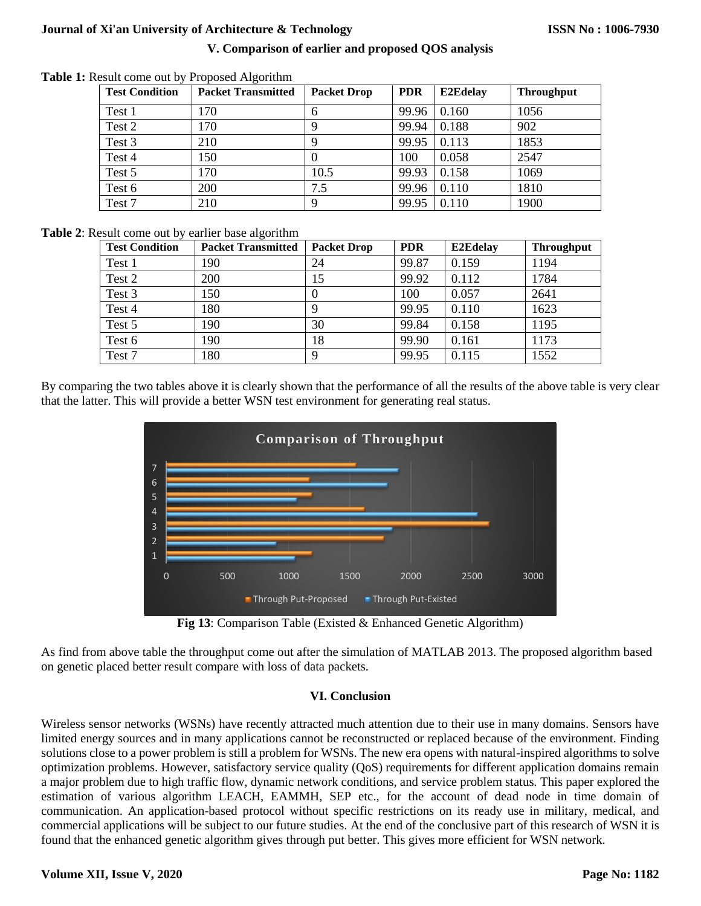# **V. Comparison of earlier and proposed QOS analysis**

| <b>Test Condition</b> | <b>Packet Transmitted</b> | <b>Packet Drop</b> | <b>PDR</b> | <b>E2Edelay</b> | <b>Throughput</b> |
|-----------------------|---------------------------|--------------------|------------|-----------------|-------------------|
| Test 1                | 170                       | 6                  | 99.96      | 0.160           | 1056              |
| Test 2                | 170                       | 9                  | 99.94      | 0.188           | 902               |
| Test 3                | 210                       | 9                  | 99.95      | 0.113           | 1853              |
| Test 4                | 150                       | $\theta$           | 100        | 0.058           | 2547              |
| Test 5                | 170                       | 10.5               | 99.93      | 0.158           | 1069              |
| Test 6                | 200                       | 7.5                | 99.96      | 0.110           | 1810              |
| Test 7                | 210                       | 9                  | 99.95      | 0.110           | 1900              |

**Table 1:** Result come out by Proposed Algorithm

# **Table 2**: Result come out by earlier base algorithm

| <b>Test Condition</b> | <b>Packet Transmitted</b> | <b>Packet Drop</b> | <b>PDR</b> | <b>E2Edelay</b> | <b>Throughput</b> |
|-----------------------|---------------------------|--------------------|------------|-----------------|-------------------|
| Test 1                | 190                       | 24                 | 99.87      | 0.159           | 1194              |
| Test 2                | 200                       | 15                 | 99.92      | 0.112           | 1784              |
| Test 3                | 150                       | 0                  | 100        | 0.057           | 2641              |
| Test 4                | 180                       | 9                  | 99.95      | 0.110           | 1623              |
| Test 5                | 190                       | 30                 | 99.84      | 0.158           | 1195              |
| Test 6                | 190                       | 18                 | 99.90      | 0.161           | 1173              |
| Test 7                | 180                       | 9                  | 99.95      | 0.115           | 1552              |

By comparing the two tables above it is clearly shown that the performance of all the results of the above table is very clear that the latter. This will provide a better WSN test environment for generating real status.



**Fig 13**: Comparison Table (Existed & Enhanced Genetic Algorithm)

As find from above table the throughput come out after the simulation of MATLAB 2013. The proposed algorithm based on genetic placed better result compare with loss of data packets.

# **VI. Conclusion**

Wireless sensor networks (WSNs) have recently attracted much attention due to their use in many domains. Sensors have limited energy sources and in many applications cannot be reconstructed or replaced because of the environment. Finding solutions close to a power problem is still a problem for WSNs. The new era opens with natural-inspired algorithms to solve optimization problems. However, satisfactory service quality (QoS) requirements for different application domains remain a major problem due to high traffic flow, dynamic network conditions, and service problem status. This paper explored the estimation of various algorithm LEACH, EAMMH, SEP etc., for the account of dead node in time domain of communication. An application-based protocol without specific restrictions on its ready use in military, medical, and commercial applications will be subject to our future studies. At the end of the conclusive part of this research of WSN it is found that the enhanced genetic algorithm gives through put better. This gives more efficient for WSN network.